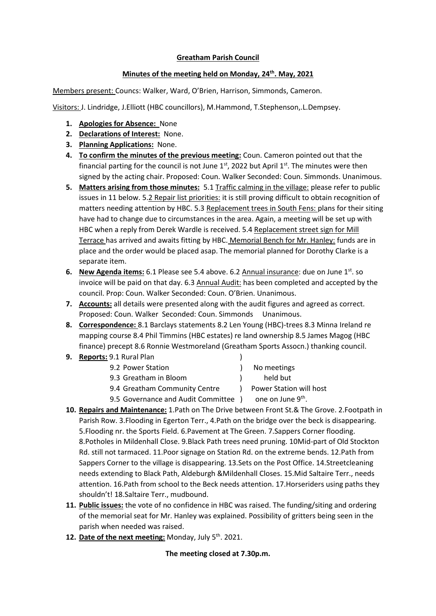## **Greatham Parish Council**

## **Minutes of the meeting held on Monday, 24th. May, 2021**

Members present: Councs: Walker, Ward, O'Brien, Harrison, Simmonds, Cameron.

Visitors: J. Lindridge, J.Elliott (HBC councillors), M.Hammond, T.Stephenson,.L.Dempsey.

- **1. Apologies for Absence:** None
- **2. Declarations of Interest:** None.
- **3. Planning Applications:** None.
- **4. To confirm the minutes of the previous meeting:** Coun. Cameron pointed out that the financial parting for the council is not June  $1<sup>st</sup>$ , 2022 but April  $1<sup>st</sup>$ . The minutes were then signed by the acting chair. Proposed: Coun. Walker Seconded: Coun. Simmonds. Unanimous.
- **5. Matters arising from those minutes:** 5.1 Traffic calming in the village: please refer to public issues in 11 below. 5.2 Repair list priorities: it is still proving difficult to obtain recognition of matters needing attention by HBC. 5.3 Replacement trees in South Fens: plans for their siting have had to change due to circumstances in the area. Again, a meeting will be set up with HBC when a reply from Derek Wardle is received. 5.4 Replacement street sign for Mill Terrace has arrived and awaits fitting by HBC. Memorial Bench for Mr. Hanley: funds are in place and the order would be placed asap. The memorial planned for Dorothy Clarke is a separate item.
- **6. New Agenda items:** 6.1 Please see 5.4 above. 6.2 Annual insurance: due on June 1<sup>st</sup>. so invoice will be paid on that day. 6.3 Annual Audit: has been completed and accepted by the council. Prop: Coun. Walker Seconded: Coun. O'Brien. Unanimous.
- **7. Accounts:** all details were presented along with the audit figures and agreed as correct. Proposed: Coun. Walker Seconded: Coun. Simmonds Unanimous.
- **8. Correspondence:** 8.1 Barclays statements 8.2 Len Young (HBC)-trees 8.3 Minna Ireland re mapping course 8.4 Phil Timmins (HBC estates) re land ownership 8.5 James Magog (HBC finance) precept 8.6 Ronnie Westmoreland (Greatham Sports Assocn.) thanking council.

#### **9. Reports:** 9.1 Rural Plan )

|                                                                             | No meetings                          |
|-----------------------------------------------------------------------------|--------------------------------------|
|                                                                             | held but                             |
| $\mathbf{1}$                                                                | Power Station will host              |
|                                                                             | one on June 9th.                     |
| 9.2 Power Station<br>9.3 Greatham in Bloom<br>9.4 Greatham Community Centre | 9.5 Governance and Audit Committee ) |

- **10. Repairs and Maintenance:** 1.Path on The Drive between Front St.& The Grove. 2.Footpath in Parish Row. 3.Flooding in Egerton Terr., 4.Path on the bridge over the beck is disappearing. 5.Flooding nr. the Sports Field. 6.Pavement at The Green. 7.Sappers Corner flooding. 8.Potholes in Mildenhall Close. 9.Black Path trees need pruning. 10Mid-part of Old Stockton Rd. still not tarmaced. 11.Poor signage on Station Rd. on the extreme bends. 12.Path from Sappers Corner to the village is disappearing. 13.Sets on the Post Office. 14.Streetcleaning needs extending to Black Path, Aldeburgh &Mildenhall Closes. 15.Mid Saltaire Terr., needs attention. 16.Path from school to the Beck needs attention. 17.Horseriders using paths they shouldn't! 18.Saltaire Terr., mudbound.
- **11. Public issues:** the vote of no confidence in HBC was raised. The funding/siting and ordering of the memorial seat for Mr. Hanley was explained. Possibility of gritters being seen in the parish when needed was raised.
- 12. Date of the next meeting: Monday, July 5<sup>th</sup>. 2021.

# **The meeting closed at 7.30p.m.**